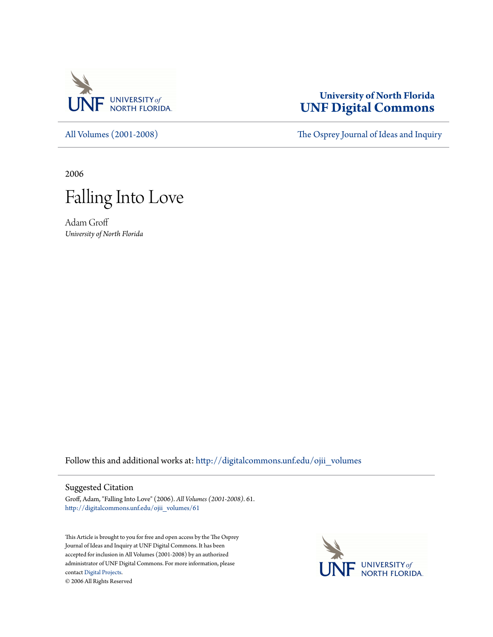

## **University of North Florida [UNF Digital Commons](http://digitalcommons.unf.edu?utm_source=digitalcommons.unf.edu%2Fojii_volumes%2F61&utm_medium=PDF&utm_campaign=PDFCoverPages)**

[All Volumes \(2001-2008\)](http://digitalcommons.unf.edu/ojii_volumes?utm_source=digitalcommons.unf.edu%2Fojii_volumes%2F61&utm_medium=PDF&utm_campaign=PDFCoverPages) [The Osprey Journal of Ideas and Inquiry](http://digitalcommons.unf.edu/ojii?utm_source=digitalcommons.unf.edu%2Fojii_volumes%2F61&utm_medium=PDF&utm_campaign=PDFCoverPages)

2006



Adam Groff *University of North Florida*

Follow this and additional works at: [http://digitalcommons.unf.edu/ojii\\_volumes](http://digitalcommons.unf.edu/ojii_volumes?utm_source=digitalcommons.unf.edu%2Fojii_volumes%2F61&utm_medium=PDF&utm_campaign=PDFCoverPages)

## Suggested Citation

Groff, Adam, "Falling Into Love" (2006). *All Volumes (2001-2008)*. 61. [http://digitalcommons.unf.edu/ojii\\_volumes/61](http://digitalcommons.unf.edu/ojii_volumes/61?utm_source=digitalcommons.unf.edu%2Fojii_volumes%2F61&utm_medium=PDF&utm_campaign=PDFCoverPages)

This Article is brought to you for free and open access by the The Osprey Journal of Ideas and Inquiry at UNF Digital Commons. It has been accepted for inclusion in All Volumes (2001-2008) by an authorized administrator of UNF Digital Commons. For more information, please contact [Digital Projects.](mailto:lib-digital@unf.edu) © 2006 All Rights Reserved

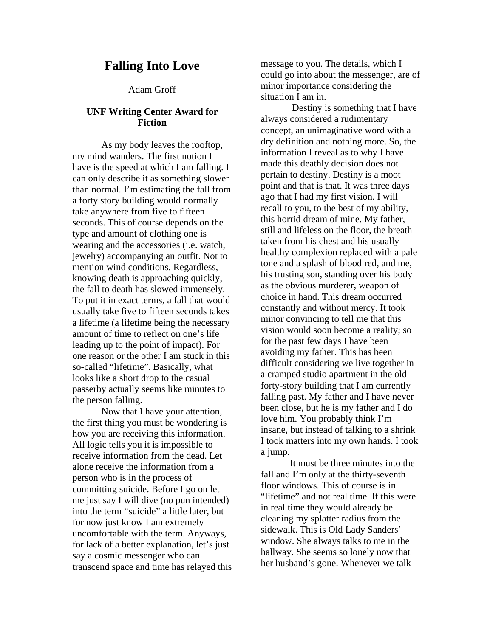## **Falling Into Love**

Adam Groff

## **UNF Writing Center Award for Fiction**

 As my body leaves the rooftop, my mind wanders. The first notion I have is the speed at which I am falling. I can only describe it as something slower than normal. I'm estimating the fall from a forty story building would normally take anywhere from five to fifteen seconds. This of course depends on the type and amount of clothing one is wearing and the accessories (i.e. watch, jewelry) accompanying an outfit. Not to mention wind conditions. Regardless, knowing death is approaching quickly, the fall to death has slowed immensely. To put it in exact terms, a fall that would usually take five to fifteen seconds takes a lifetime (a lifetime being the necessary amount of time to reflect on one's life leading up to the point of impact). For one reason or the other I am stuck in this so-called "lifetime". Basically, what looks like a short drop to the casual passerby actually seems like minutes to the person falling.

 Now that I have your attention, the first thing you must be wondering is how you are receiving this information. All logic tells you it is impossible to receive information from the dead. Let alone receive the information from a person who is in the process of committing suicide. Before I go on let me just say I will dive (no pun intended) into the term "suicide" a little later, but for now just know I am extremely uncomfortable with the term. Anyways, for lack of a better explanation, let's just say a cosmic messenger who can transcend space and time has relayed this message to you. The details, which I could go into about the messenger, are of minor importance considering the situation I am in.

 Destiny is something that I have always considered a rudimentary concept, an unimaginative word with a dry definition and nothing more. So, the information I reveal as to why I have made this deathly decision does not pertain to destiny. Destiny is a moot point and that is that. It was three days ago that I had my first vision. I will recall to you, to the best of my ability, this horrid dream of mine. My father, still and lifeless on the floor, the breath taken from his chest and his usually healthy complexion replaced with a pale tone and a splash of blood red, and me, his trusting son, standing over his body as the obvious murderer, weapon of choice in hand. This dream occurred constantly and without mercy. It took minor convincing to tell me that this vision would soon become a reality; so for the past few days I have been avoiding my father. This has been difficult considering we live together in a cramped studio apartment in the old forty-story building that I am currently falling past. My father and I have never been close, but he is my father and I do love him. You probably think I'm insane, but instead of talking to a shrink I took matters into my own hands. I took a jump.

 It must be three minutes into the fall and I'm only at the thirty-seventh floor windows. This of course is in "lifetime" and not real time. If this were in real time they would already be cleaning my splatter radius from the sidewalk. This is Old Lady Sanders' window. She always talks to me in the hallway. She seems so lonely now that her husband's gone. Whenever we talk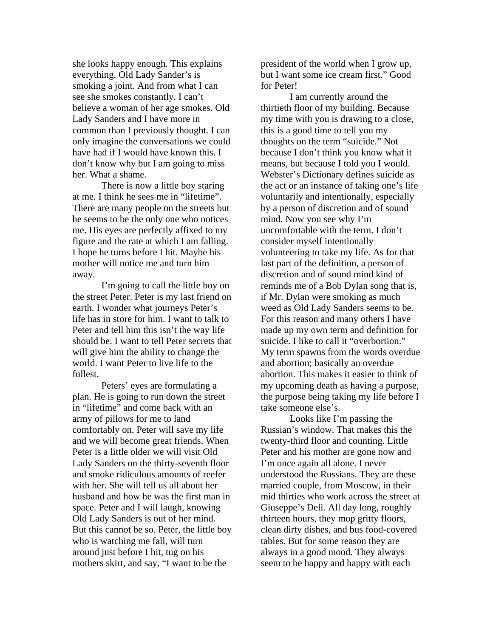she looks happy enough. This explains everything. Old Lady Sander's is smoking a joint. And from what I can see she smokes constantly. I can't believe a woman of her age smokes. Old Lady Sanders and I have more in common than I previously thought. I can only imagine the conversations we could have had if I would have known this. I don't know why but I am going to miss her. What a shame.

 There is now a little boy staring at me. I think he sees me in "lifetime". There are many people on the streets but he seems to be the only one who notices me. His eyes are perfectly affixed to my figure and the rate at which I am falling. I hope he turns before I hit. Maybe his mother will notice me and turn him away.

I'm going to call the little boy on the street Peter. Peter is my last friend on earth. I wonder what journeys Peter's life has in store for him. I want to talk to Peter and tell him this isn't the way life should be. I want to tell Peter secrets that will give him the ability to change the world. I want Peter to live life to the fullest.

Peters' eyes are formulating a plan. He is going to run down the street in "lifetime" and come back with an army of pillows for me to land comfortably on. Peter will save my life and we will become great friends. When Peter is a little older we will visit Old Lady Sanders on the thirty-seventh floor and smoke ridiculous amounts of reefer with her. She will tell us all about her husband and how he was the first man in space. Peter and I will laugh, knowing Old Lady Sanders is out of her mind. But this cannot be so. Peter, the little boy who is watching me fall, will turn around just before I hit, tug on his mothers skirt, and say, "I want to be the

president of the world when I grow up, but I want some ice cream first." Good for Peter!

 I am currently around the thirtieth floor of my building. Because my time with you is drawing to a close, this is a good time to tell you my thoughts on the term "suicide." Not because I don't think you know what it means, but because I told you I would. Webster's Dictionary defines suicide as the act or an instance of taking one's life voluntarily and intentionally, especially by a person of discretion and of sound mind. Now you see why I'm uncomfortable with the term. I don't consider myself intentionally volunteering to take my life. As for that last part of the definition, a person of discretion and of sound mind kind of reminds me of a Bob Dylan song that is, if Mr. Dylan were smoking as much weed as Old Lady Sanders seems to be. For this reason and many others I have made up my own term and definition for suicide. I like to call it "overbortion." My term spawns from the words overdue and abortion; basically an overdue abortion. This makes it easier to think of my upcoming death as having a purpose, the purpose being taking my life before I take someone else's.

 Looks like I'm passing the Russian's window. That makes this the twenty-third floor and counting. Little Peter and his mother are gone now and I'm once again all alone. I never understood the Russians. They are these married couple, from Moscow, in their mid thirties who work across the street at Giuseppe's Deli. All day long, roughly thirteen hours, they mop gritty floors, clean dirty dishes, and bus food-covered tables. But for some reason they are always in a good mood. They always seem to be happy and happy with each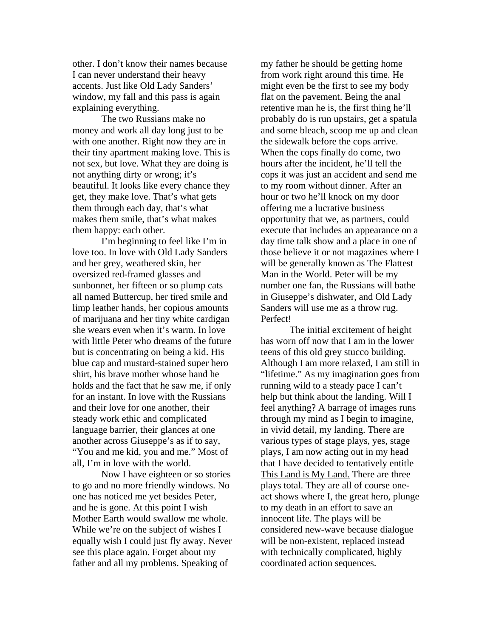other. I don't know their names because I can never understand their heavy accents. Just like Old Lady Sanders' window, my fall and this pass is again explaining everything.

 The two Russians make no money and work all day long just to be with one another. Right now they are in their tiny apartment making love. This is not sex, but love. What they are doing is not anything dirty or wrong; it's beautiful. It looks like every chance they get, they make love. That's what gets them through each day, that's what makes them smile, that's what makes them happy: each other.

I'm beginning to feel like I'm in love too. In love with Old Lady Sanders and her grey, weathered skin, her oversized red-framed glasses and sunbonnet, her fifteen or so plump cats all named Buttercup, her tired smile and limp leather hands, her copious amounts of marijuana and her tiny white cardigan she wears even when it's warm. In love with little Peter who dreams of the future but is concentrating on being a kid. His blue cap and mustard-stained super hero shirt, his brave mother whose hand he holds and the fact that he saw me, if only for an instant. In love with the Russians and their love for one another, their steady work ethic and complicated language barrier, their glances at one another across Giuseppe's as if to say, "You and me kid, you and me." Most of all, I'm in love with the world.

Now I have eighteen or so stories to go and no more friendly windows. No one has noticed me yet besides Peter, and he is gone. At this point I wish Mother Earth would swallow me whole. While we're on the subject of wishes I equally wish I could just fly away. Never see this place again. Forget about my father and all my problems. Speaking of

my father he should be getting home from work right around this time. He might even be the first to see my body flat on the pavement. Being the anal retentive man he is, the first thing he'll probably do is run upstairs, get a spatula and some bleach, scoop me up and clean the sidewalk before the cops arrive. When the cops finally do come, two hours after the incident, he'll tell the cops it was just an accident and send me to my room without dinner. After an hour or two he'll knock on my door offering me a lucrative business opportunity that we, as partners, could execute that includes an appearance on a day time talk show and a place in one of those believe it or not magazines where I will be generally known as The Flattest Man in the World. Peter will be my number one fan, the Russians will bathe in Giuseppe's dishwater, and Old Lady Sanders will use me as a throw rug. Perfect!

The initial excitement of height has worn off now that I am in the lower teens of this old grey stucco building. Although I am more relaxed, I am still in "lifetime." As my imagination goes from running wild to a steady pace I can't help but think about the landing. Will I feel anything? A barrage of images runs through my mind as I begin to imagine, in vivid detail, my landing. There are various types of stage plays, yes, stage plays, I am now acting out in my head that I have decided to tentatively entitle This Land is My Land. There are three plays total. They are all of course oneact shows where I, the great hero, plunge to my death in an effort to save an innocent life. The plays will be considered new-wave because dialogue will be non-existent, replaced instead with technically complicated, highly coordinated action sequences.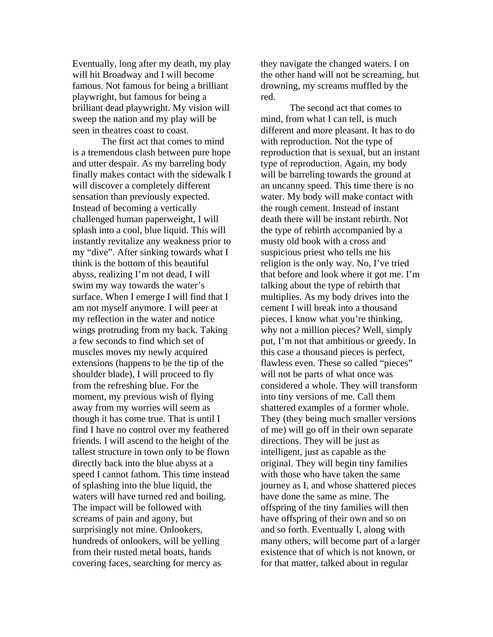Eventually, long after my death, my play will hit Broadway and I will become famous. Not famous for being a brilliant playwright, but famous for being a brilliant dead playwright. My vision will sweep the nation and my play will be seen in theatres coast to coast.

The first act that comes to mind is a tremendous clash between pure hope and utter despair. As my barreling body finally makes contact with the sidewalk I will discover a completely different sensation than previously expected. Instead of becoming a vertically challenged human paperweight, I will splash into a cool, blue liquid. This will instantly revitalize any weakness prior to my "dive". After sinking towards what I think is the bottom of this beautiful abyss, realizing I'm not dead, I will swim my way towards the water's surface. When I emerge I will find that I am not myself anymore. I will peer at my reflection in the water and notice wings protruding from my back. Taking a few seconds to find which set of muscles moves my newly acquired extensions (happens to be the tip of the shoulder blade), I will proceed to fly from the refreshing blue. For the moment, my previous wish of flying away from my worries will seem as though it has come true. That is until I find I have no control over my feathered friends. I will ascend to the height of the tallest structure in town only to be flown directly back into the blue abyss at a speed I cannot fathom. This time instead of splashing into the blue liquid, the waters will have turned red and boiling. The impact will be followed with screams of pain and agony, but surprisingly not mine. Onlookers, hundreds of onlookers, will be yelling from their rusted metal boats, hands covering faces, searching for mercy as

they navigate the changed waters. I on the other hand will not be screaming, but drowning, my screams muffled by the red.

The second act that comes to mind, from what I can tell, is much different and more pleasant. It has to do with reproduction. Not the type of reproduction that is sexual, but an instant type of reproduction. Again, my body will be barreling towards the ground at an uncanny speed. This time there is no water. My body will make contact with the rough cement. Instead of instant death there will be instant rebirth. Not the type of rebirth accompanied by a musty old book with a cross and suspicious priest who tells me his religion is the only way. No, I've tried that before and look where it got me. I'm talking about the type of rebirth that multiplies. As my body drives into the cement I will break into a thousand pieces. I know what you're thinking, why not a million pieces? Well, simply put, I'm not that ambitious or greedy. In this case a thousand pieces is perfect, flawless even. These so called "pieces" will not be parts of what once was considered a whole. They will transform into tiny versions of me. Call them shattered examples of a former whole. They (they being much smaller versions of me) will go off in their own separate directions. They will be just as intelligent, just as capable as the original. They will begin tiny families with those who have taken the same journey as I, and whose shattered pieces have done the same as mine. The offspring of the tiny families will then have offspring of their own and so on and so forth. Eventually I, along with many others, will become part of a larger existence that of which is not known, or for that matter, talked about in regular